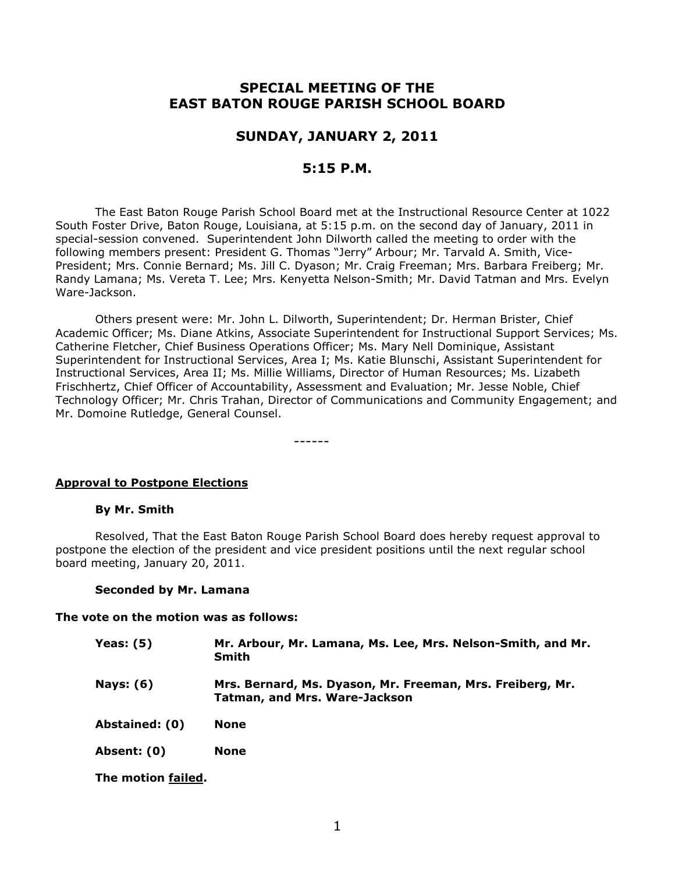# **SPECIAL MEETING OF THE EAST BATON ROUGE PARISH SCHOOL BOARD**

### **SUNDAY, JANUARY 2, 2011**

## **5:15 P.M.**

The East Baton Rouge Parish School Board met at the Instructional Resource Center at 1022 South Foster Drive, Baton Rouge, Louisiana, at 5:15 p.m. on the second day of January, 2011 in special-session convened. Superintendent John Dilworth called the meeting to order with the following members present: President G. Thomas "Jerry" Arbour; Mr. Tarvald A. Smith, Vice-President; Mrs. Connie Bernard; Ms. Jill C. Dyason; Mr. Craig Freeman; Mrs. Barbara Freiberg; Mr. Randy Lamana; Ms. Vereta T. Lee; Mrs. Kenyetta Nelson-Smith; Mr. David Tatman and Mrs. Evelyn Ware-Jackson.

Others present were: Mr. John L. Dilworth, Superintendent; Dr. Herman Brister, Chief Academic Officer; Ms. Diane Atkins, Associate Superintendent for Instructional Support Services; Ms. Catherine Fletcher, Chief Business Operations Officer; Ms. Mary Nell Dominique, Assistant Superintendent for Instructional Services, Area I; Ms. Katie Blunschi, Assistant Superintendent for Instructional Services, Area II; Ms. Millie Williams, Director of Human Resources; Ms. Lizabeth Frischhertz, Chief Officer of Accountability, Assessment and Evaluation; Mr. Jesse Noble, Chief Technology Officer; Mr. Chris Trahan, Director of Communications and Community Engagement; and Mr. Domoine Rutledge, General Counsel.

------

#### **Approval to Postpone Elections**

#### **By Mr. Smith**

Resolved, That the East Baton Rouge Parish School Board does hereby request approval to postpone the election of the president and vice president positions until the next regular school board meeting, January 20, 2011.

#### **Seconded by Mr. Lamana**

#### **The vote on the motion was as follows:**

| Yeas: $(5)$      | Mr. Arbour, Mr. Lamana, Ms. Lee, Mrs. Nelson-Smith, and Mr.<br><b>Smith</b>                       |
|------------------|---------------------------------------------------------------------------------------------------|
| <b>Nays: (6)</b> | Mrs. Bernard, Ms. Dyason, Mr. Freeman, Mrs. Freiberg, Mr.<br><b>Tatman, and Mrs. Ware-Jackson</b> |
| Abstained: (0)   | None                                                                                              |
| Absent: (0)      | <b>None</b>                                                                                       |

**The motion failed.**